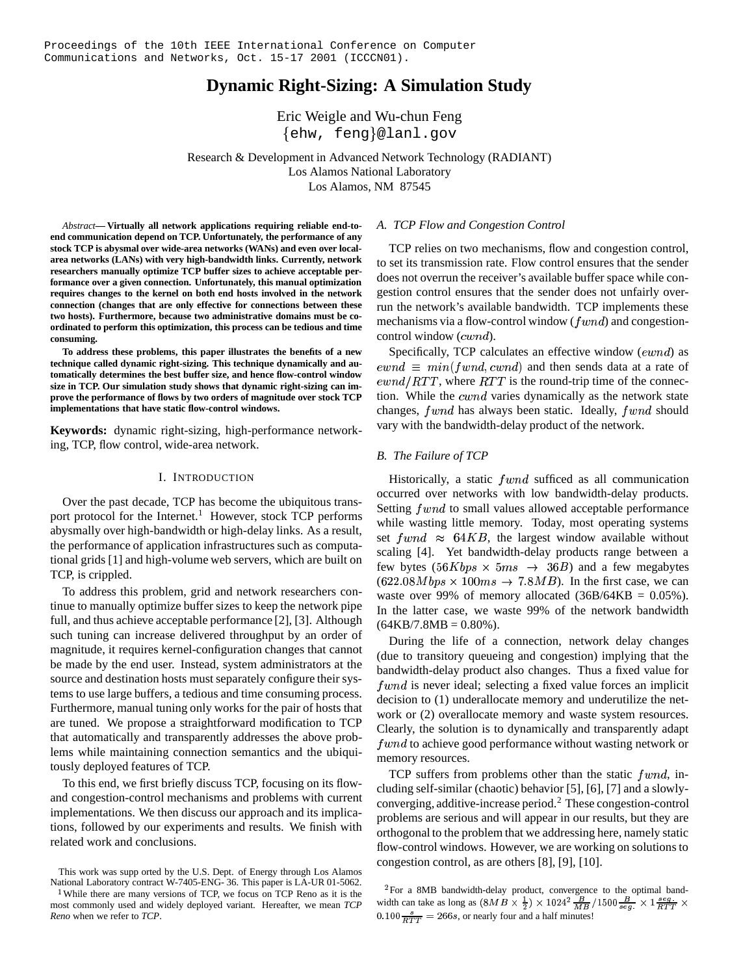# **Dynamic Right-Sizing: A Simulation Study**

Eric Weigle and Wu-chun Feng ehw, feng @lanl.gov

Research & Development in Advanced Network Technology (RADIANT) Los Alamos National Laboratory Los Alamos, NM 87545

*Abstract***— Virtually all network applications requiring reliable end-toend communication depend on TCP. Unfortunately, the performance of any stock TCP is abysmal over wide-area networks (WANs) and even over localarea networks (LANs) with very high-bandwidth links. Currently, network researchers manually optimize TCP buffer sizes to achieve acceptable performance over a given connection. Unfortunately, this manual optimization requires changes to the kernel on both end hosts involved in the network connection (changes that are only effective for connections between these two hosts). Furthermore, because two administrative domains must be coordinated to perform this optimization, this process can be tedious and time consuming.**

**To address these problems, this paper illustrates the benefits of a new technique called dynamic right-sizing. This technique dynamically and automatically determines the best buffer size, and hence flow-control window size in TCP. Our simulation study shows that dynamic right-sizing can improve the performance of flows by two orders of magnitude over stock TCP implementations that have static flow-control windows.**

**Keywords:** dynamic right-sizing, high-performance networking, TCP, flow control, wide-area network.

### I. INTRODUCTION

Over the past decade, TCP has become the ubiquitous transport protocol for the Internet.<sup>1</sup> However, stock TCP performs abysmally over high-bandwidth or high-delay links. As a result, the performance of application infrastructures such as computational grids [1] and high-volume web servers, which are built on TCP, is crippled.

To address this problem, grid and network researchers continue to manually optimize buffer sizes to keep the network pipe full, and thus achieve acceptable performance [2], [3]. Although such tuning can increase delivered throughput by an order of magnitude, it requires kernel-configuration changes that cannot be made by the end user. Instead, system administrators at the source and destination hosts must separately configure their systems to use large buffers, a tedious and time consuming process. Furthermore, manual tuning only works for the pair of hosts that are tuned. We propose a straightforward modification to TCP that automatically and transparently addresses the above problems while maintaining connection semantics and the ubiquitously deployed features of TCP.

To this end, we first briefly discuss TCP, focusing on its flowand congestion-control mechanisms and problems with current implementations. We then discuss our approach and its implications, followed by our experiments and results. We finish with related work and conclusions.

## *A. TCP Flow and Congestion Control*

TCP relies on two mechanisms, flow and congestion control, to set its transmission rate. Flow control ensures that the sender does not overrun the receiver's available buffer space while congestion control ensures that the sender does not unfairly overrun the network's available bandwidth. TCP implements these mechanisms via a flow-control window ( $fwnd$ ) and congestioncontrol window  $(cwnd)$ .

Specifically, TCP calculates an effective window  $(ewnd)$  as  $\mathit{ewnd} \equiv \mathit{min}(\mathit{fwnd}, \mathit{cwnd})$  and then sends data at a rate of  $\mathit{ewnd}/\mathit{RTT}$ , where  $\mathit{RTT}$  is the round-trip time of the connection. While the  $cwnd$  varies dynamically as the network state changes,  $fwnd$  has always been static. Ideally,  $fwnd$  should vary with the bandwidth-delay product of the network.

### *B. The Failure of TCP*

Historically, a static  $fwnd$  sufficed as all communication occurred over networks with low bandwidth-delay products. Setting  $fwnd$  to small values allowed acceptable performance while wasting little memory. Today, most operating systems set  $fwnd \approx 64KB$ , the largest window available without scaling [4]. Yet bandwidth-delay products range between a few bytes  $(56Kbps \times 5ms \rightarrow 36B)$  and a few megabytes  $(622.08Mbps \times 100ms \rightarrow 7.8MB)$ . In the first case, we can waste over 99% of memory allocated  $(36B/64KB = 0.05\%)$ . In the latter case, we waste 99% of the network bandwidth  $(64KB/7.8MB = 0.80\%).$ 

During the life of a connection, network delay changes (due to transitory queueing and congestion) implying that the bandwidth-delay product also changes. Thus a fixed value for  $fwnd$  is never ideal; selecting a fixed value forces an implicit decision to (1) underallocate memory and underutilize the network or (2) overallocate memory and waste system resources. Clearly, the solution is to dynamically and transparently adapt  $fwnd$  to achieve good performance without wasting network or memory resources.

TCP suffers from problems other than the static  $fwnd$ , including self-similar (chaotic) behavior [5], [6], [7] and a slowlyconverging, additive-increase period.<sup>2</sup> These congestion-control problems are serious and will appear in our results, but they are orthogonal to the problem that we addressing here, namely static flow-control windows. However, we are working on solutions to congestion control, as are others [8], [9], [10].

This work was supp orted by the U.S. Dept. of Energy through Los Alamos National Laboratory contract W-7405-ENG- 36. This paper is LA-UR 01-5062.

<sup>&</sup>lt;sup>1</sup>While there are many versions of TCP, we focus on TCP Reno as it is the most commonly used and widely deployed variant. Hereafter, we mean *TCP Reno* when we refer to *TCP*.

<sup>&</sup>lt;sup>2</sup>For a 8MB bandwidth-delay product, convergence to the optimal bandwidth can take as long as  $(8MB \times \frac{1}{2}) \times 1024^2 \frac{B}{MR}/1500 \frac{B}{\gamma_{0.08}} \times 1 \frac{seg}{RTT} \times$  $0.100 \frac{s}{\sqrt{PTT}} = 266s$ , or nearly four and a half minutes!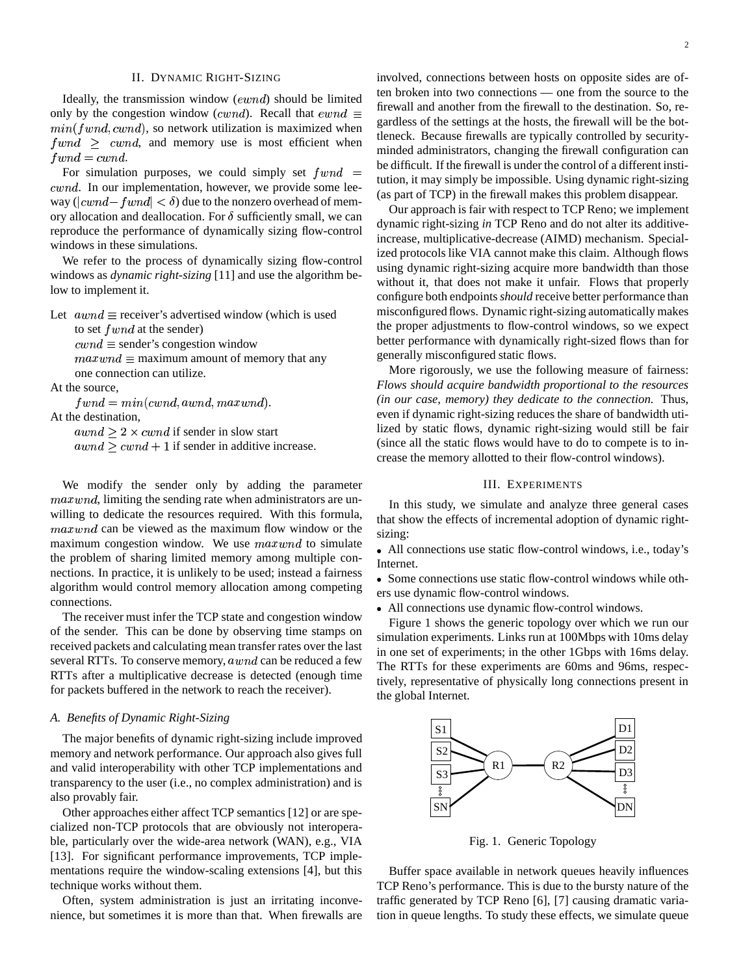## II. DYNAMIC RIGHT-SIZING

Ideally, the transmission window  $(ewnd)$  should be limited only by the congestion window (cwnd). Recall that  $\epsilon w n d \equiv$  $min(fwnd, cwnd)$ , so network utilization is maximized when  $fwnd \geq cwnd$ , and memory use is most efficient when  $fwnd = cwnd.$ 

For simulation purposes, we could simply set  $fwnd =$  $cwnd$ . In our implementation, however, we provide some leeway  $\left( |cwnd - fwnd| < \delta \right)$  due to the nonzero overhead of memory allocation and deallocation. For  $\delta$  sufficiently small, we can reproduce the performance of dynamically sizing flow-control windows in these simulations.

We refer to the process of dynamically sizing flow-control windows as *dynamic right-sizing* [11] and use the algorithm below to implement it.

Let  $\textit{awnd} \equiv \text{receiver's advertised window}$  (which is used

to set  $fwnd$  at the sender)

 $cwnd \equiv$  sender's congestion window

 $maxwnd \equiv$  maximum amount of memory that any one connection can utilize.

At the source,

 $fwnd = min(cwnd, award, maxwnd).$ 

At the destination,

 $awnd \geq 2 \times cwnd$  if sender in slow start  $awnd \geq cwnd + 1$  if sender in additive increase.

We modify the sender only by adding the parameter  $maxwnd$ , limiting the sending rate when administrators are unwilling to dedicate the resources required. With this formula,  $maxwnd$  can be viewed as the maximum flow window or the maximum congestion window. We use  $maxwnd$  to simulate the problem of sharing limited memory among multiple connections. In practice, it is unlikely to be used; instead a fairness algorithm would control memory allocation among competing connections.

The receiver must infer the TCP state and congestion window of the sender. This can be done by observing time stamps on received packets and calculating mean transfer rates over the last several RTTs. To conserve memory,  $awnd$  can be reduced a few RTTs after a multiplicative decrease is detected (enough time for packets buffered in the network to reach the receiver).

# *A. Benefits of Dynamic Right-Sizing*

The major benefits of dynamic right-sizing include improved memory and network performance. Our approach also gives full and valid interoperability with other TCP implementations and transparency to the user (i.e., no complex administration) and is also provably fair.

Other approaches either affect TCP semantics [12] or are specialized non-TCP protocols that are obviously not interoperable, particularly over the wide-area network (WAN), e.g., VIA [13]. For significant performance improvements, TCP implementations require the window-scaling extensions [4], but this technique works without them.

Often, system administration is just an irritating inconvenience, but sometimes it is more than that. When firewalls are  tution, it may simply be impossible. Using dynamic right-sizing involved, connections between hosts on opposite sides are often broken into two connections — one from the source to the firewall and another from the firewall to the destination. So, regardless of the settings at the hosts, the firewall will be the bottleneck. Because firewalls are typically controlled by securityminded administrators, changing the firewall configuration can be difficult. If the firewall is under the control of a different insti-(as part of TCP) in the firewall makes this problem disappear.

Our approach is fair with respect to TCP Reno; we implement dynamic right-sizing *in* TCP Reno and do not alter its additiveincrease, multiplicative-decrease (AIMD) mechanism. Specialized protocols like VIA cannot make this claim. Although flows using dynamic right-sizing acquire more bandwidth than those without it, that does not make it unfair. Flows that properly configure both endpoints*should* receive better performance than misconfigured flows. Dynamic right-sizing automatically makes the proper adjustments to flow-control windows, so we expect better performance with dynamically right-sized flows than for generally misconfigured static flows.

More rigorously, we use the following measure of fairness: *Flows should acquire bandwidth proportional to the resources (in our case, memory) they dedicate to the connection.* Thus, even if dynamic right-sizing reduces the share of bandwidth utilized by static flows, dynamic right-sizing would still be fair (since all the static flows would have to do to compete is to increase the memory allotted to their flow-control windows).

# III. EXPERIMENTS

In this study, we simulate and analyze three general cases that show the effects of incremental adoption of dynamic rightsizing:

All connections use static flow-control windows, i.e., today's Internet.

• Some connections use static flow-control windows while others use dynamic flow-control windows.

All connections use dynamic flow-control windows.

Figure 1 shows the generic topology over which we run our simulation experiments. Links run at 100Mbps with 10ms delay in one set of experiments; in the other 1Gbps with 16ms delay. The RTTs for these experiments are 60ms and 96ms, respectively, representative of physically long connections present in the global Internet.



Fig. 1. Generic Topology

Buffer space available in network queues heavily influences TCP Reno's performance. This is due to the bursty nature of the traffic generated by TCP Reno [6], [7] causing dramatic variation in queue lengths. To study these effects, we simulate queue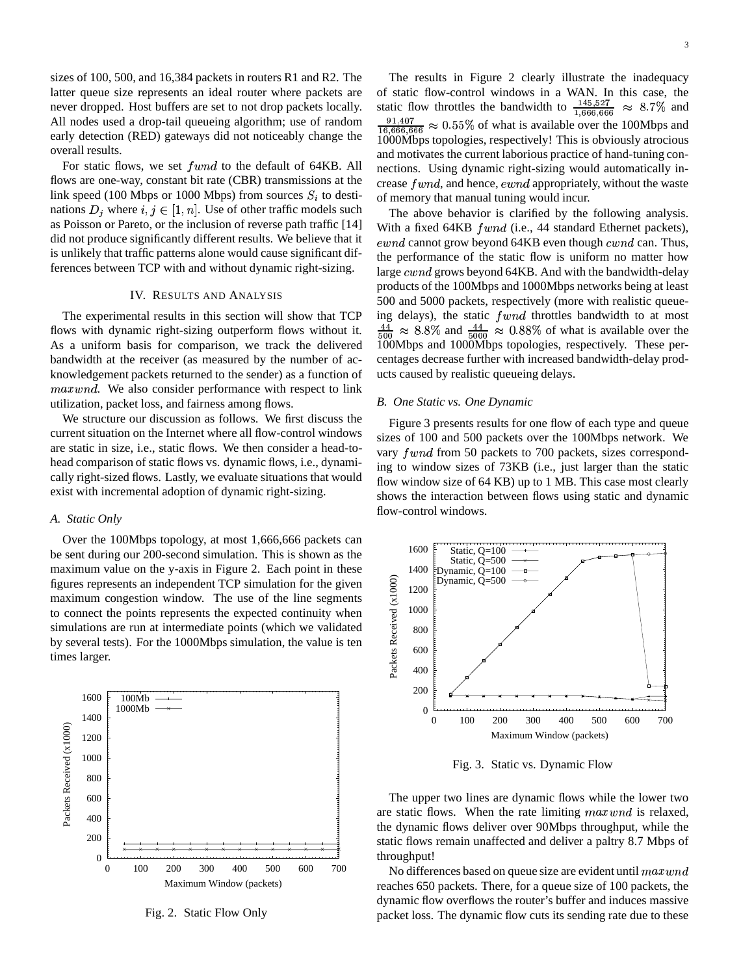sizes of 100, 500, and 16,384 packets in routers R1 and R2. The latter queue size represents an ideal router where packets are never dropped. Host buffers are set to not drop packets locally. All nodes used a drop-tail queueing algorithm; use of random early detection (RED) gateways did not noticeably change the overall results.

For static flows, we set  $fwnd$  to the default of 64KB. All flows are one-way, constant bit rate (CBR) transmissions at the link speed (100 Mbps or 1000 Mbps) from sources  $S_i$  to destinations  $D_i$  where  $i, j \in [1, n]$ . Use of other traffic models such as Poisson or Pareto, or the inclusion of reverse path traffic [14] did not produce significantly different results. We believe that it is unlikely that traffic patterns alone would cause significant differences between TCP with and without dynamic right-sizing.

### IV. RESULTS AND ANALYSIS

The experimental results in this section will show that TCP flows with dynamic right-sizing outperform flows without it. As a uniform basis for comparison, we track the delivered bandwidth at the receiver (as measured by the number of acknowledgement packets returned to the sender) as a function of *maxwnd*. We also consider performance with respect to link utilization, packet loss, and fairness among flows.

We structure our discussion as follows. We first discuss the current situation on the Internet where all flow-control windows are static in size, i.e., static flows. We then consider a head-tohead comparison of static flows vs. dynamic flows, i.e., dynamically right-sized flows. Lastly, we evaluate situations that would exist with incremental adoption of dynamic right-sizing.

#### *A. Static Only*

Over the 100Mbps topology, at most 1,666,666 packets can be sent during our 200-second simulation. This is shown as the maximum value on the y-axis in Figure 2. Each point in these figures represents an independent TCP simulation for the given maximum congestion window. The use of the line segments to connect the points represents the expected continuity when simulations are run at intermediate points (which we validated by several tests). For the 1000Mbps simulation, the value is ten times larger.



Fig. 2. Static Flow Only

The results in Figure 2 clearly illustrate the inadequacy of static flow-control windows in a WAN. In this case, the static flow throttles the bandwidth to  $\frac{145,527}{1,666,666} \approx 8.7\%$  and ----- $\frac{91,407}{16,666,666}$   $\approx 0.55\%$  of what is available over the 100Mbps and<br>0.000Mbps tangle size, associated This is a hydrogly studient 1000Mbps topologies, respectively! This is obviously atrocious and motivates the current laborious practice of hand-tuning connections. Using dynamic right-sizing would automatically increase  $fwnd$ , and hence,  $ewnd$  appropriately, without the waste of memory that manual tuning would incur.

The above behavior is clarified by the following analysis. With a fixed  $64KB$   $fwnd$  (i.e., 44 standard Ethernet packets),  $\mathit{ewnd}$  cannot grow beyond 64KB even though  $\mathit{cwnd}$  can. Thus, the performance of the static flow is uniform no matter how large  $cwnd$  grows beyond 64KB. And with the bandwidth-delay products of the 100Mbps and 1000Mbps networks being at least 500 and 5000 packets, respectively (more with realistic queueing delays), the static  $fwnd$  throttles bandwidth to at most  $\frac{44}{500} \approx 8.8\%$  and  $\frac{44}{5000} \approx 0.88\%$  of what is available over the 100Mbps and 1000Mbps topologies, respectively. These percentages decrease further with increased bandwidth-delay products caused by realistic queueing delays.

#### *B. One Static vs. One Dynamic*

Figure 3 presents results for one flow of each type and queue sizes of 100 and 500 packets over the 100Mbps network. We vary  $fwnd$  from 50 packets to 700 packets, sizes corresponding to window sizes of 73KB (i.e., just larger than the static flow window size of 64 KB) up to 1 MB. This case most clearly shows the interaction between flows using static and dynamic flow-control windows.



Fig. 3. Static vs. Dynamic Flow

The upper two lines are dynamic flows while the lower two are static flows. When the rate limiting  $maxwnd$  is relaxed, the dynamic flows deliver over 90Mbps throughput, while the static flows remain unaffected and deliver a paltry 8.7 Mbps of throughput!

No differences based on queue size are evident until  $maxwnd$ reaches 650 packets. There, for a queue size of 100 packets, the dynamic flow overflows the router's buffer and induces massive packet loss. The dynamic flow cuts its sending rate due to these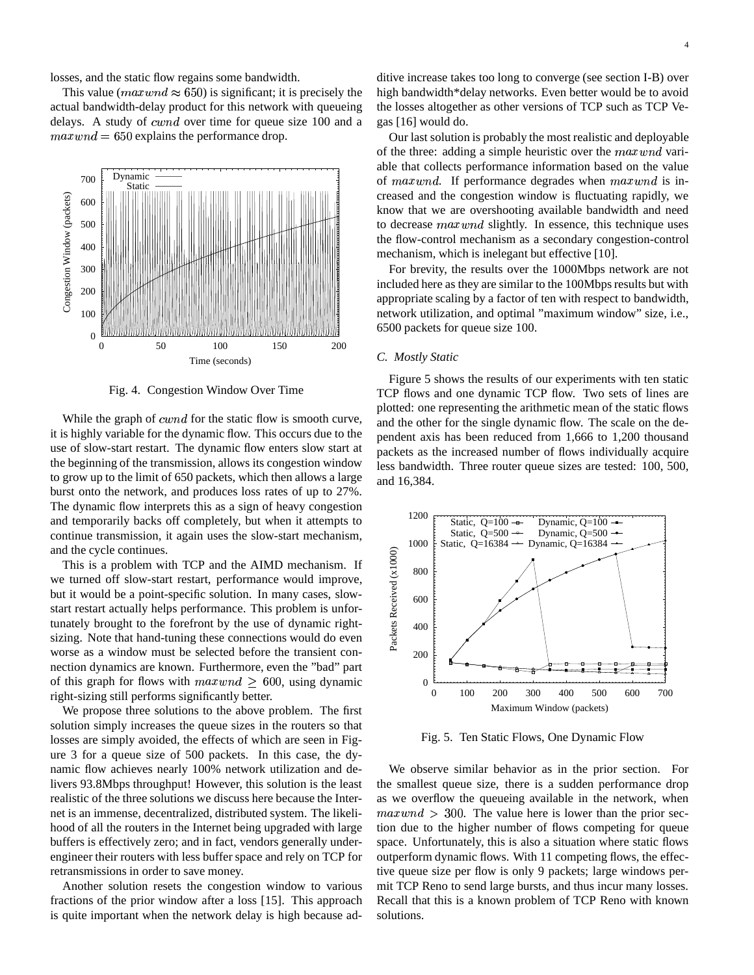losses, and the static flow regains some bandwidth.

This value (maxwnd  $\approx$  650) is significant; it is precisely the actual bandwidth-delay product for this network with queueing delays. A study of  $cwnd$  over time for queue size 100 and a  $maxwnd = 650$  explains the performance drop.



Fig. 4. Congestion Window Over Time

While the graph of  $cwnd$  for the static flow is smooth curve, it is highly variable for the dynamic flow. This occurs due to the use of slow-start restart. The dynamic flow enters slow start at the beginning of the transmission, allows its congestion window to grow up to the limit of 650 packets, which then allows a large burst onto the network, and produces loss rates of up to 27%. The dynamic flow interprets this as a sign of heavy congestion and temporarily backs off completely, but when it attempts to continue transmission, it again uses the slow-start mechanism, and the cycle continues.

This is a problem with TCP and the AIMD mechanism. If we turned off slow-start restart, performance would improve, but it would be a point-specific solution. In many cases, slowstart restart actually helps performance. This problem is unfortunately brought to the forefront by the use of dynamic rightsizing. Note that hand-tuning these connections would do even worse as a window must be selected before the transient connection dynamics are known. Furthermore, even the "bad" part of this graph for flows with  $maxwnd \geq 600$ , using dynamic right-sizing still performs significantly better.

We propose three solutions to the above problem. The first solution simply increases the queue sizes in the routers so that losses are simply avoided, the effects of which are seen in Figure 3 for a queue size of 500 packets. In this case, the dynamic flow achieves nearly 100% network utilization and delivers 93.8Mbps throughput! However, this solution is the least realistic of the three solutions we discuss here because the Internet is an immense, decentralized, distributed system. The likelihood of all the routers in the Internet being upgraded with large buffers is effectively zero; and in fact, vendors generally underengineer their routers with less buffer space and rely on TCP for retransmissions in order to save money.

Another solution resets the congestion window to various fractions of the prior window after a loss [15]. This approach is quite important when the network delay is high because ad-

ditive increase takes too long to converge (see section I-B) over high bandwidth\*delay networks. Even better would be to avoid the losses altogether as other versions of TCP such as TCP Vegas [16] would do.

Our last solution is probably the most realistic and deployable of the three: adding a simple heuristic over the  $maxwnd$  variable that collects performance information based on the value of maxwnd. If performance degrades when  $maxwnd$  is increased and the congestion window is fluctuating rapidly, we know that we are overshooting available bandwidth and need to decrease *maxwnd* slightly. In essence, this technique uses the flow-control mechanism as a secondary congestion-control mechanism, which is inelegant but effective [10].

For brevity, the results over the 1000Mbps network are not included here as they are similar to the 100Mbps results but with appropriate scaling by a factor of ten with respect to bandwidth, network utilization, and optimal "maximum window" size, i.e., 6500 packets for queue size 100.

# *C. Mostly Static*

Figure 5 shows the results of our experiments with ten static TCP flows and one dynamic TCP flow. Two sets of lines are plotted: one representing the arithmetic mean of the static flows and the other for the single dynamic flow. The scale on the dependent axis has been reduced from 1,666 to 1,200 thousand packets as the increased number of flows individually acquire less bandwidth. Three router queue sizes are tested: 100, 500, and 16,384.



Fig. 5. Ten Static Flows, One Dynamic Flow

We observe similar behavior as in the prior section. For the smallest queue size, there is a sudden performance drop as we overflow the queueing available in the network, when  $maxwnd > 300$ . The value here is lower than the prior section due to the higher number of flows competing for queue space. Unfortunately, this is also a situation where static flows outperform dynamic flows. With 11 competing flows, the effective queue size per flow is only 9 packets; large windows permit TCP Reno to send large bursts, and thus incur many losses. Recall that this is a known problem of TCP Reno with known solutions.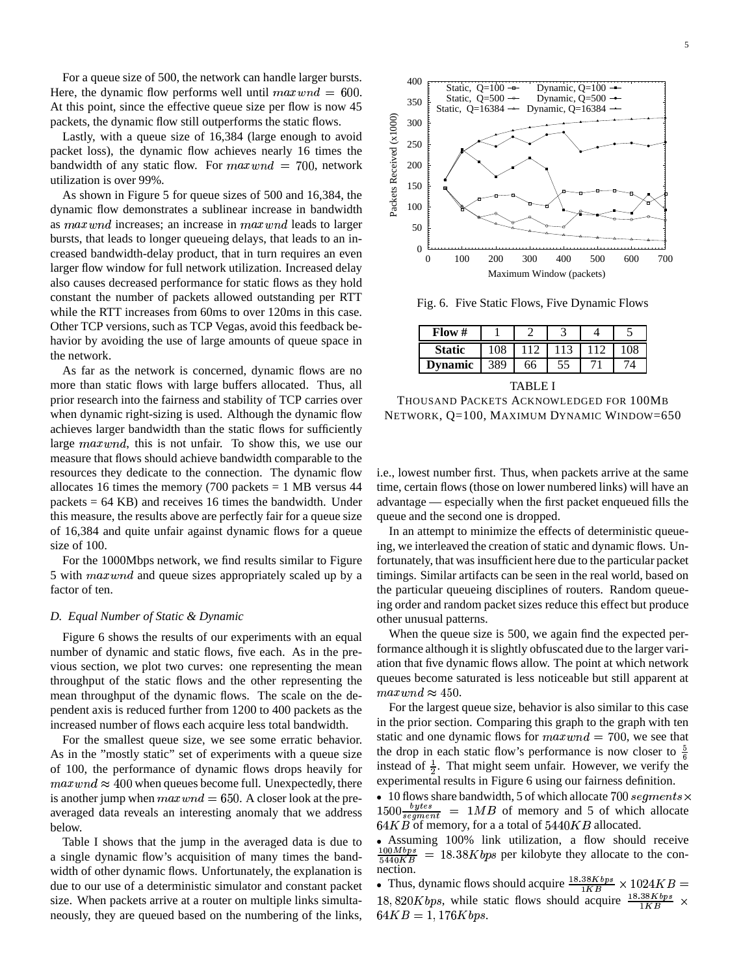For a queue size of 500, the network can handle larger bursts. Here, the dynamic flow performs well until  $maxwnd = 600$ . At this point, since the effective queue size per flow is now 45 packets, the dynamic flow still outperforms the static flows.

Lastly, with a queue size of 16,384 (large enough to avoid packet loss), the dynamic flow achieves nearly 16 times the bandwidth of any static flow. For  $maxwnd = 700$ , network utilization is over 99%.

As shown in Figure 5 for queue sizes of 500 and 16,384, the dynamic flow demonstrates a sublinear increase in bandwidth as maxwnd increases; an increase in maxwnd leads to larger bursts, that leads to longer queueing delays, that leads to an increased bandwidth-delay product, that in turn requires an even larger flow window for full network utilization. Increased delay also causes decreased performance for static flows as they hold constant the number of packets allowed outstanding per RTT while the RTT increases from 60ms to over 120ms in this case. Other TCP versions, such as TCP Vegas, avoid this feedback behavior by avoiding the use of large amounts of queue space in the network.

As far as the network is concerned, dynamic flows are no more than static flows with large buffers allocated. Thus, all prior research into the fairness and stability of TCP carries over when dynamic right-sizing is used. Although the dynamic flow achieves larger bandwidth than the static flows for sufficiently large  $maxwnd$ , this is not unfair. To show this, we use our measure that flows should achieve bandwidth comparable to the resources they dedicate to the connection. The dynamic flow allocates 16 times the memory (700 packets  $= 1$  MB versus 44 packets  $= 64$  KB) and receives 16 times the bandwidth. Under this measure, the results above are perfectly fair for a queue size of 16,384 and quite unfair against dynamic flows for a queue size of 100.

For the 1000Mbps network, we find results similar to Figure 5 with  $maxwnd$  and queue sizes appropriately scaled up by a factor of ten.

#### *D. Equal Number of Static & Dynamic*

Figure 6 shows the results of our experiments with an equal number of dynamic and static flows, five each. As in the previous section, we plot two curves: one representing the mean throughput of the static flows and the other representing the mean throughput of the dynamic flows. The scale on the dependent axis is reduced further from 1200 to 400 packets as the increased number of flows each acquire less total bandwidth.

For the smallest queue size, we see some erratic behavior. As in the "mostly static" set of experiments with a queue size of 100, the performance of dynamic flows drops heavily for  $maxwnd \approx 400$  when queues become full. Unexpectedly, there is another jump when  $maxwnd = 650$ . A closer look at the preaveraged data reveals an interesting anomaly that we address below.

Table I shows that the jump in the averaged data is due to a single dynamic flow's acquisition of many times the bandwidth of other dynamic flows. Unfortunately, the explanation is due to our use of a deterministic simulator and constant packet size. When packets arrive at a router on multiple links simultaneously, they are queued based on the numbering of the links,



Fig. 6. Five Static Flows, Five Dynamic Flows

| Flow#          |     |    |     |               |
|----------------|-----|----|-----|---------------|
| <b>Static</b>  | 108 |    | 113 | $^{\circ}$ 08 |
| <b>Dynamic</b> | 389 | 66 |     |               |
|                |     |    |     |               |

TABLE I

THOUSAND PACKETS ACKNOWLEDGED FOR 100MB NETWORK, Q=100, MAXIMUM DYNAMIC WINDOW=650

i.e., lowest number first. Thus, when packets arrive at the same time, certain flows (those on lower numbered links) will have an advantage — especially when the first packet enqueued fills the queue and the second one is dropped.

In an attempt to minimize the effects of deterministic queueing, we interleaved the creation of static and dynamic flows. Unfortunately, that was insufficient here due to the particular packet timings. Similar artifacts can be seen in the real world, based on the particular queueing disciplines of routers. Random queueing order and random packet sizes reduce this effect but produce other unusual patterns.

When the queue size is 500, we again find the expected performance although it is slightly obfuscated due to the larger variation that five dynamic flows allow. The point at which network queues become saturated is less noticeable but still apparent at  $maxwnd \approx 450$ .

For the largest queue size, behavior is also similar to this case in the prior section. Comparing this graph to the graph with ten static and one dynamic flows for  $maxwnd = 700$ , we see that the drop in each static flow's performance is now closer to  $\frac{5}{6}$ instead of  $\frac{1}{2}$ . That might seem unfair. However, we verify the e xperimental results in Figure 6 using our fairness definition.

10 flows share bandwidth, 5 of which allocate 700 segments  $\times$ E.<@<@  $\frac{bytes}{segment}$  = 1*MB* of memory and 5 of which allocate  $64KB$  of memory, for a a total of  $5440KB$  allocated.

Assuming 100% link utilization, a flow should receive  $\frac{100Mbps}{5440KB} = 18.38Kbps$  per kilobyte they allocate to the connection.

Thus, dynamic flows should acquire  $\frac{18.38Kbps}{1KB} \times 1024KB$  = 18,820*K bps*, while static flows should acquire  $\frac{18.38Kbps}{1KB} \times$  $64KB = 1, 176Kbps.$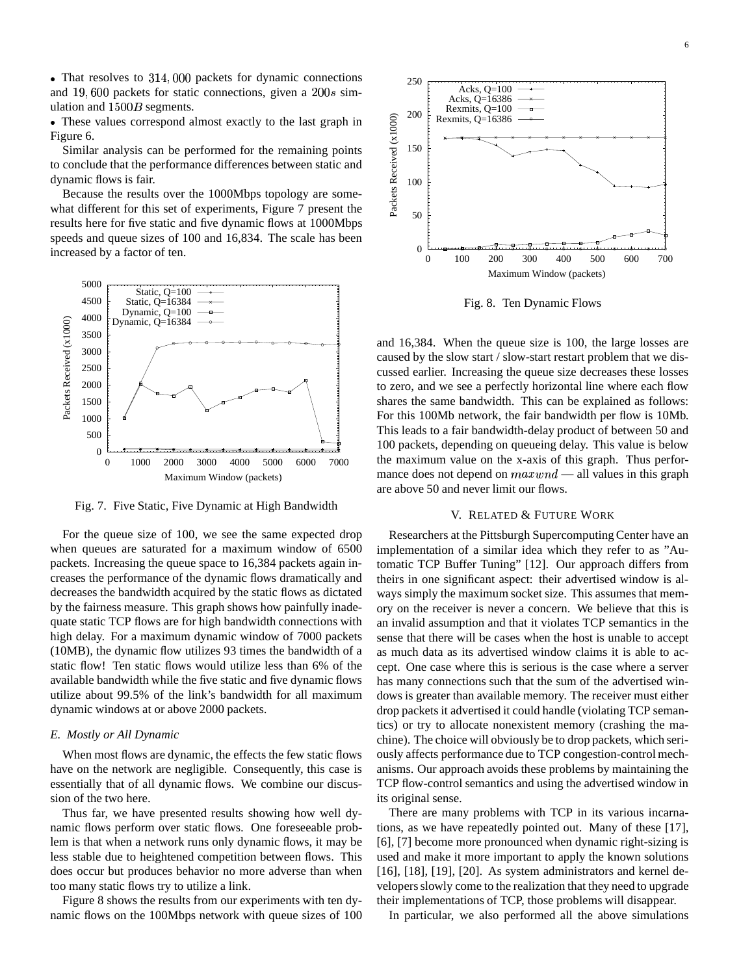$\bullet$  That resolves to 314,000 packets for dynamic connections and 19,600 packets for static connections, given a  $200s$  simulation and  $1500B$  segments.

These values correspond almost exactly to the last graph in Figure 6.

Similar analysis can be performed for the remaining points to conclude that the performance differences between static and dynamic flows is fair.

Because the results over the 1000Mbps topology are somewhat different for this set of experiments, Figure 7 present the results here for five static and five dynamic flows at 1000Mbps speeds and queue sizes of 100 and 16,834. The scale has been increased by a factor of ten.



Fig. 7. Five Static, Five Dynamic at High Bandwidth

For the queue size of 100, we see the same expected drop when queues are saturated for a maximum window of 6500 packets. Increasing the queue space to 16,384 packets again increases the performance of the dynamic flows dramatically and decreases the bandwidth acquired by the static flows as dictated by the fairness measure. This graph shows how painfully inadequate static TCP flows are for high bandwidth connections with high delay. For a maximum dynamic window of 7000 packets (10MB), the dynamic flow utilizes 93 times the bandwidth of a static flow! Ten static flows would utilize less than 6% of the available bandwidth while the five static and five dynamic flows utilize about 99.5% of the link's bandwidth for all maximum dynamic windows at or above 2000 packets.

### *E. Mostly or All Dynamic*

When most flows are dynamic, the effects the few static flows have on the network are negligible. Consequently, this case is essentially that of all dynamic flows. We combine our discussion of the two here.

Thus far, we have presented results showing how well dynamic flows perform over static flows. One foreseeable problem is that when a network runs only dynamic flows, it may be less stable due to heightened competition between flows. This does occur but produces behavior no more adverse than when too many static flows try to utilize a link.

Figure 8 shows the results from our experiments with ten dynamic flows on the 100Mbps network with queue sizes of 100



Fig. 8. Ten Dynamic Flows

and 16,384. When the queue size is 100, the large losses are caused by the slow start / slow-start restart problem that we discussed earlier. Increasing the queue size decreases these losses to zero, and we see a perfectly horizontal line where each flow shares the same bandwidth. This can be explained as follows: For this 100Mb network, the fair bandwidth per flow is 10Mb. This leads to a fair bandwidth-delay product of between 50 and 100 packets, depending on queueing delay. This value is below the maximum value on the x-axis of this graph. Thus performance does not depend on  $maxwnd$  — all values in this graph are above 50 and never limit our flows.

# V. RELATED & FUTURE WORK

Researchers at the Pittsburgh Supercomputing Center have an implementation of a similar idea which they refer to as "Automatic TCP Buffer Tuning" [12]. Our approach differs from theirs in one significant aspect: their advertised window is always simply the maximum socket size. This assumes that memory on the receiver is never a concern. We believe that this is an invalid assumption and that it violates TCP semantics in the sense that there will be cases when the host is unable to accept as much data as its advertised window claims it is able to accept. One case where this is serious is the case where a server has many connections such that the sum of the advertised windows is greater than available memory. The receiver must either drop packets it advertised it could handle (violating TCP semantics) or try to allocate nonexistent memory (crashing the machine). The choice will obviously be to drop packets, which seriously affects performance due to TCP congestion-control mechanisms. Our approach avoids these problems by maintaining the TCP flow-control semantics and using the advertised window in its original sense.

There are many problems with TCP in its various incarnations, as we have repeatedly pointed out. Many of these [17], [6], [7] become more pronounced when dynamic right-sizing is used and make it more important to apply the known solutions [16], [18], [19], [20]. As system administrators and kernel developersslowly come to the realization that they need to upgrade their implementations of TCP, those problems will disappear.

In particular, we also performed all the above simulations